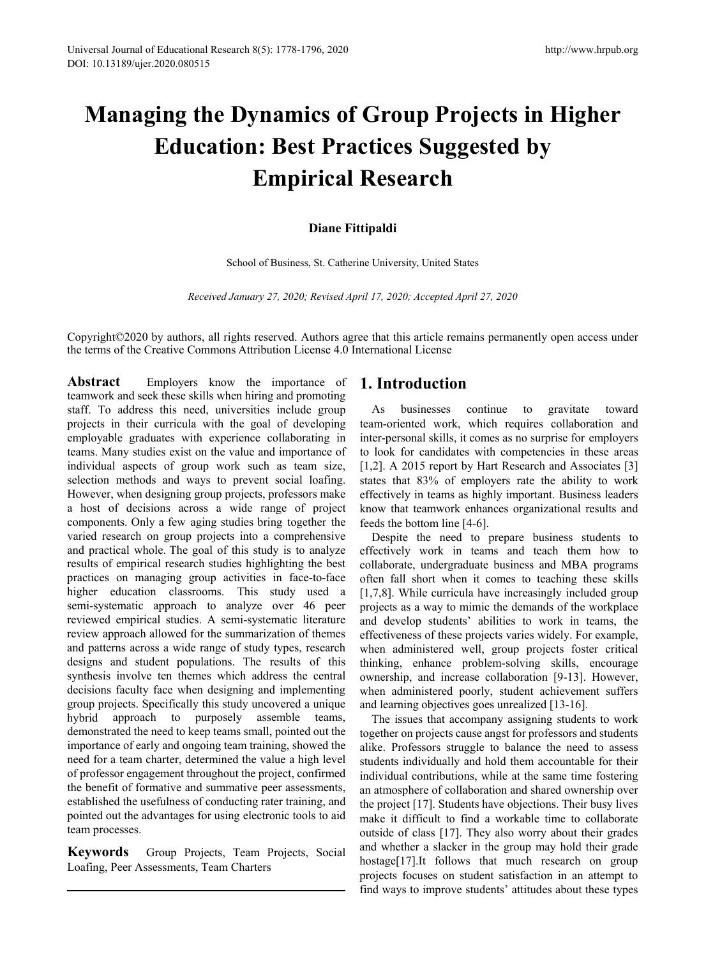# **Managing the Dynamics of Group Projects in Higher Education: Best Practices Suggested by Empirical Research**

# **Diane Fittipaldi**

School of Business, St. Catherine University, United States

*Received January 27, 2020; Revised April 17, 2020; Accepted April 27, 2020*

Copyright©2020 by authors, all rights reserved. Authors agree that this article remains permanently open access under the terms of the Creative Commons Attribution License 4.0 International License

**Abstract** Employers know the importance of teamwork and seek these skills when hiring and promoting staff. To address this need, universities include group projects in their curricula with the goal of developing employable graduates with experience collaborating in teams. Many studies exist on the value and importance of individual aspects of group work such as team size, selection methods and ways to prevent social loafing. However, when designing group projects, professors make a host of decisions across a wide range of project components. Only a few aging studies bring together the varied research on group projects into a comprehensive and practical whole. The goal of this study is to analyze results of empirical research studies highlighting the best practices on managing group activities in face-to-face higher education classrooms. This study used a semi-systematic approach to analyze over 46 peer reviewed empirical studies. A semi-systematic literature review approach allowed for the summarization of themes and patterns across a wide range of study types, research designs and student populations. The results of this synthesis involve ten themes which address the central decisions faculty face when designing and implementing group projects. Specifically this study uncovered a unique hybrid approach to purposely assemble teams, demonstrated the need to keep teams small, pointed out the importance of early and ongoing team training, showed the need for a team charter, determined the value a high level of professor engagement throughout the project, confirmed the benefit of formative and summative peer assessments, established the usefulness of conducting rater training, and pointed out the advantages for using electronic tools to aid team processes.

**Keywords** Group Projects, Team Projects, Social Loafing, Peer Assessments, Team Charters

# **1. Introduction**

As businesses continue to gravitate toward team-oriented work, which requires collaboration and inter-personal skills, it comes as no surprise for employers to look for candidates with competencies in these areas [1,2]. A 2015 report by Hart Research and Associates [3] states that 83% of employers rate the ability to work effectively in teams as highly important. Business leaders know that teamwork enhances organizational results and feeds the bottom line [4-6].

Despite the need to prepare business students to effectively work in teams and teach them how to collaborate, undergraduate business and MBA programs often fall short when it comes to teaching these skills [1,7,8]. While curricula have increasingly included group projects as a way to mimic the demands of the workplace and develop students' abilities to work in teams, the effectiveness of these projects varies widely. For example, when administered well, group projects foster critical thinking, enhance problem-solving skills, encourage ownership, and increase collaboration [9-13]. However, when administered poorly, student achievement suffers and learning objectives goes unrealized [13-16].

The issues that accompany assigning students to work together on projects cause angst for professors and students alike. Professors struggle to balance the need to assess students individually and hold them accountable for their individual contributions, while at the same time fostering an atmosphere of collaboration and shared ownership over the project [17]. Students have objections. Their busy lives make it difficult to find a workable time to collaborate outside of class [17]. They also worry about their grades and whether a slacker in the group may hold their grade hostage[17].It follows that much research on group projects focuses on student satisfaction in an attempt to find ways to improve students' attitudes about these types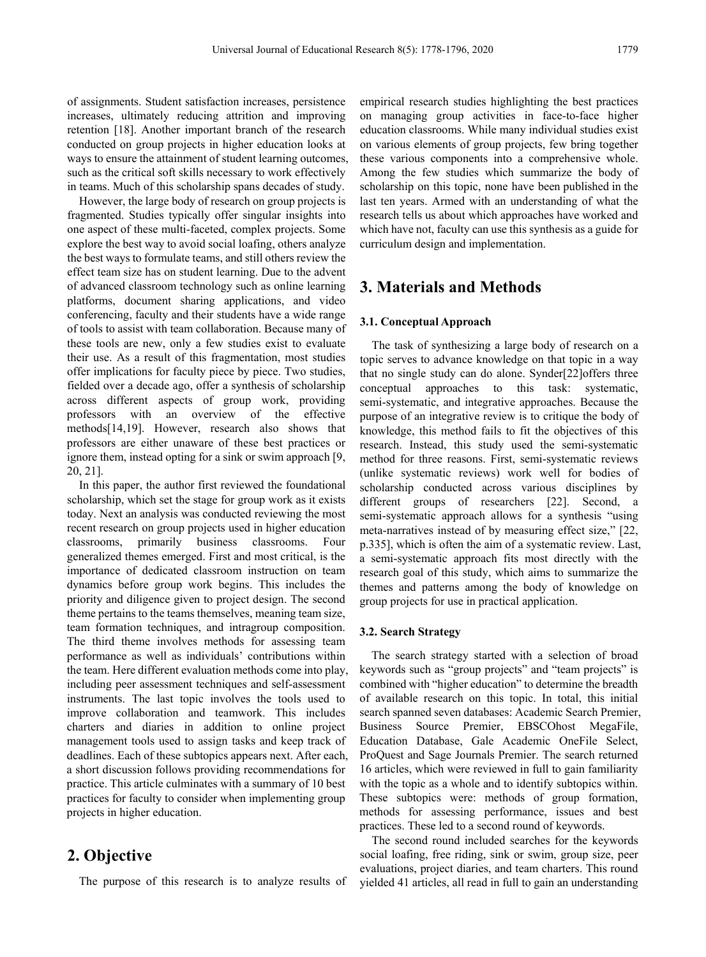of assignments. Student satisfaction increases, persistence increases, ultimately reducing attrition and improving retention [18]. Another important branch of the research conducted on group projects in higher education looks at ways to ensure the attainment of student learning outcomes, such as the critical soft skills necessary to work effectively in teams. Much of this scholarship spans decades of study.

However, the large body of research on group projects is fragmented. Studies typically offer singular insights into one aspect of these multi-faceted, complex projects. Some explore the best way to avoid social loafing, others analyze the best ways to formulate teams, and still others review the effect team size has on student learning. Due to the advent of advanced classroom technology such as online learning platforms, document sharing applications, and video conferencing, faculty and their students have a wide range of tools to assist with team collaboration. Because many of these tools are new, only a few studies exist to evaluate their use. As a result of this fragmentation, most studies offer implications for faculty piece by piece. Two studies, fielded over a decade ago, offer a synthesis of scholarship across different aspects of group work, providing professors with an overview of the effective methods[14,19]. However, research also shows that professors are either unaware of these best practices or ignore them, instead opting for a sink or swim approach [9, 20, 21].

In this paper, the author first reviewed the foundational scholarship, which set the stage for group work as it exists today. Next an analysis was conducted reviewing the most recent research on group projects used in higher education classrooms, primarily business classrooms. Four generalized themes emerged. First and most critical, is the importance of dedicated classroom instruction on team dynamics before group work begins. This includes the priority and diligence given to project design. The second theme pertains to the teams themselves, meaning team size, team formation techniques, and intragroup composition. The third theme involves methods for assessing team performance as well as individuals' contributions within the team. Here different evaluation methods come into play, including peer assessment techniques and self-assessment instruments. The last topic involves the tools used to improve collaboration and teamwork. This includes charters and diaries in addition to online project management tools used to assign tasks and keep track of deadlines. Each of these subtopics appears next. After each, a short discussion follows providing recommendations for practice. This article culminates with a summary of 10 best practices for faculty to consider when implementing group projects in higher education.

# **2. Objective**

The purpose of this research is to analyze results of

empirical research studies highlighting the best practices on managing group activities in face-to-face higher education classrooms. While many individual studies exist on various elements of group projects, few bring together these various components into a comprehensive whole. Among the few studies which summarize the body of scholarship on this topic, none have been published in the last ten years. Armed with an understanding of what the research tells us about which approaches have worked and which have not, faculty can use this synthesis as a guide for curriculum design and implementation.

# **3. Materials and Methods**

## **3.1. Conceptual Approach**

The task of synthesizing a large body of research on a topic serves to advance knowledge on that topic in a way that no single study can do alone. Synder[22]offers three conceptual approaches to this task: systematic, semi-systematic, and integrative approaches. Because the purpose of an integrative review is to critique the body of knowledge, this method fails to fit the objectives of this research. Instead, this study used the semi-systematic method for three reasons. First, semi-systematic reviews (unlike systematic reviews) work well for bodies of scholarship conducted across various disciplines by different groups of researchers [22]. Second, a semi-systematic approach allows for a synthesis "using meta-narratives instead of by measuring effect size," [22, p.335], which is often the aim of a systematic review. Last, a semi-systematic approach fits most directly with the research goal of this study, which aims to summarize the themes and patterns among the body of knowledge on group projects for use in practical application.

## **3.2. Search Strategy**

The search strategy started with a selection of broad keywords such as "group projects" and "team projects" is combined with "higher education" to determine the breadth of available research on this topic. In total, this initial search spanned seven databases: Academic Search Premier, Business Source Premier, EBSCOhost MegaFile, Education Database, Gale Academic OneFile Select, ProQuest and Sage Journals Premier. The search returned 16 articles, which were reviewed in full to gain familiarity with the topic as a whole and to identify subtopics within. These subtopics were: methods of group formation, methods for assessing performance, issues and best practices. These led to a second round of keywords.

The second round included searches for the keywords social loafing, free riding, sink or swim, group size, peer evaluations, project diaries, and team charters. This round yielded 41 articles, all read in full to gain an understanding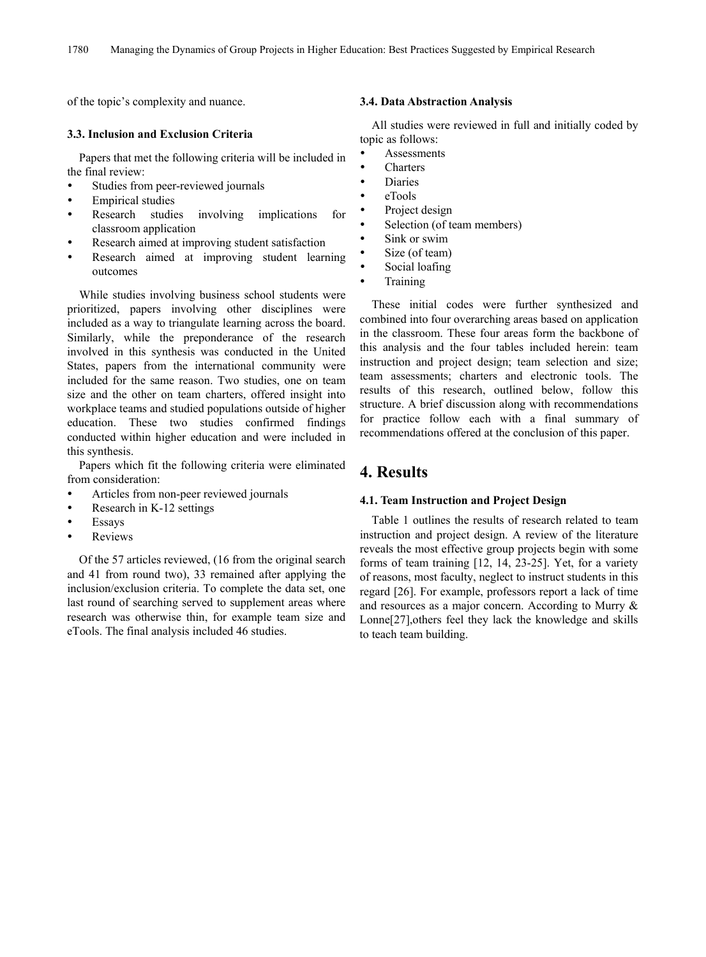of the topic's complexity and nuance.

# **3.3. Inclusion and Exclusion Criteria**

Papers that met the following criteria will be included in the final review:

- Studies from peer-reviewed journals
- Empirical studies
- Research studies involving implications for classroom application
- Research aimed at improving student satisfaction
- Research aimed at improving student learning outcomes

While studies involving business school students were prioritized, papers involving other disciplines were included as a way to triangulate learning across the board. Similarly, while the preponderance of the research involved in this synthesis was conducted in the United States, papers from the international community were included for the same reason. Two studies, one on team size and the other on team charters, offered insight into workplace teams and studied populations outside of higher education. These two studies confirmed findings conducted within higher education and were included in this synthesis.

Papers which fit the following criteria were eliminated from consideration:

- Articles from non-peer reviewed journals
- Research in K-12 settings
- Essays
- Reviews

Of the 57 articles reviewed, (16 from the original search and 41 from round two), 33 remained after applying the inclusion/exclusion criteria. To complete the data set, one last round of searching served to supplement areas where research was otherwise thin, for example team size and eTools. The final analysis included 46 studies.

## **3.4. Data Abstraction Analysis**

All studies were reviewed in full and initially coded by topic as follows:

- **Assessments**
- **Charters**
- Diaries
- eTools
- Project design
- Selection (of team members)
- Sink or swim
- Size (of team)
- Social loafing
- Training

These initial codes were further synthesized and combined into four overarching areas based on application in the classroom. These four areas form the backbone of this analysis and the four tables included herein: team instruction and project design; team selection and size; team assessments; charters and electronic tools. The results of this research, outlined below, follow this structure. A brief discussion along with recommendations for practice follow each with a final summary of recommendations offered at the conclusion of this paper.

# **4. Results**

## **4.1. Team Instruction and Project Design**

Table 1 outlines the results of research related to team instruction and project design. A review of the literature reveals the most effective group projects begin with some forms of team training [12, 14, 23-25]. Yet, for a variety of reasons, most faculty, neglect to instruct students in this regard [26]. For example, professors report a lack of time and resources as a major concern. According to Murry & Lonne[27],others feel they lack the knowledge and skills to teach team building.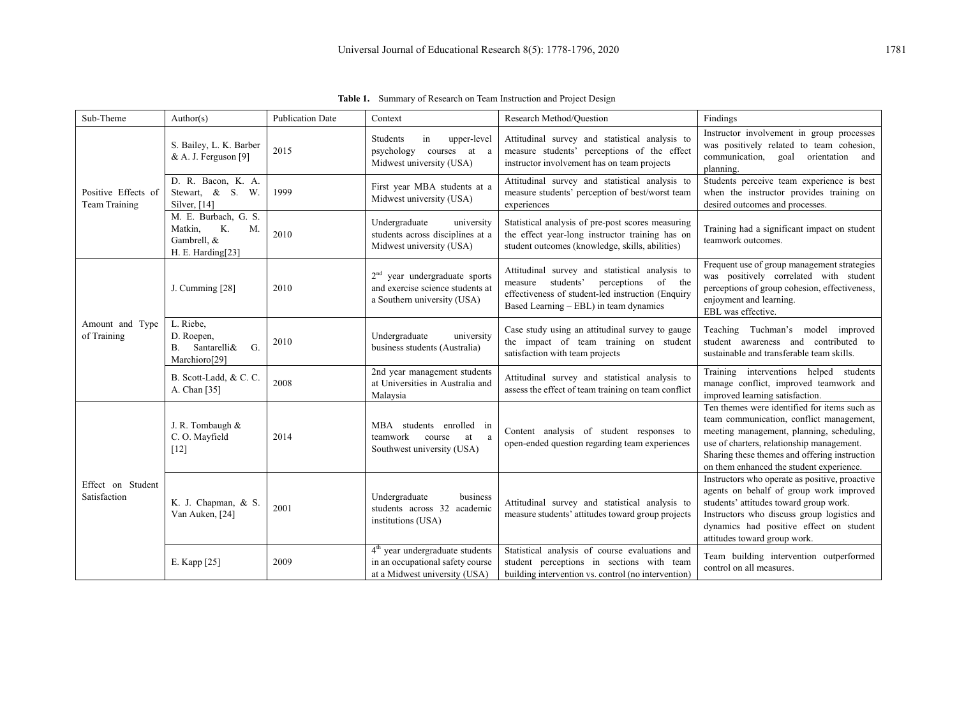| Sub-Theme                            | Author(s)                                                                       | <b>Publication Date</b> | Context                                                                                                | Research Method/Question                                                                                                                                                                    | Findings                                                                                                                                                                                                                                                                        |
|--------------------------------------|---------------------------------------------------------------------------------|-------------------------|--------------------------------------------------------------------------------------------------------|---------------------------------------------------------------------------------------------------------------------------------------------------------------------------------------------|---------------------------------------------------------------------------------------------------------------------------------------------------------------------------------------------------------------------------------------------------------------------------------|
|                                      | S. Bailey, L. K. Barber<br>& A. J. Ferguson [9]                                 | 2015                    | in<br>Students<br>upper-level<br>psychology<br>courses at a<br>Midwest university (USA)                | Attitudinal survey and statistical analysis to<br>measure students' perceptions of the effect<br>instructor involvement has on team projects                                                | Instructor involvement in group processes<br>was positively related to team cohesion,<br>communication, goal orientation and<br>planning.                                                                                                                                       |
| Positive Effects of<br>Team Training | D. R. Bacon, K. A.<br>Stewart, & S. W.<br>Silver, $[14]$                        | 1999                    | First year MBA students at a<br>Midwest university (USA)                                               | Attitudinal survey and statistical analysis to<br>measure students' perception of best/worst team<br>experiences                                                                            | Students perceive team experience is best<br>when the instructor provides training on<br>desired outcomes and processes.                                                                                                                                                        |
|                                      | M. E. Burbach, G. S.<br>Matkin,<br>K.<br>M.<br>Gambrell, &<br>H. E. Harding[23] | 2010                    | Undergraduate<br>university<br>students across disciplines at a<br>Midwest university (USA)            | Statistical analysis of pre-post scores measuring<br>the effect year-long instructor training has on<br>student outcomes (knowledge, skills, abilities)                                     | Training had a significant impact on student<br>teamwork outcomes.                                                                                                                                                                                                              |
| Amount and Type<br>of Training       | J. Cumming [28]                                                                 | 2010                    | $2nd$ year undergraduate sports<br>and exercise science students at<br>a Southern university (USA)     | Attitudinal survey and statistical analysis to<br>measure students'<br>perceptions<br>of the<br>effectiveness of student-led instruction (Enquiry<br>Based Learning - EBL) in team dynamics | Frequent use of group management strategies<br>was positively correlated with student<br>perceptions of group cohesion, effectiveness,<br>enjoyment and learning.<br>EBL was effective.                                                                                         |
|                                      | L. Riebe,<br>D. Roepen,<br>B. Santarelli&<br>G.<br>Marchioro[29]                | 2010                    | Undergraduate<br>university<br>business students (Australia)                                           | Case study using an attitudinal survey to gauge<br>the impact of team training on student<br>satisfaction with team projects                                                                | Teaching Tuchman's model improved<br>student awareness and contributed to<br>sustainable and transferable team skills.                                                                                                                                                          |
|                                      | B. Scott-Ladd, & C. C.<br>A. Chan [35]                                          | 2008                    | 2nd year management students<br>at Universities in Australia and<br>Malaysia                           | Attitudinal survey and statistical analysis to<br>assess the effect of team training on team conflict                                                                                       | Training interventions helped students<br>manage conflict, improved teamwork and<br>improved learning satisfaction.                                                                                                                                                             |
| Effect on Student<br>Satisfaction    | J. R. Tombaugh &<br>C.O. Mayfield<br>$[12]$                                     | 2014                    | MBA students enrolled in<br>teamwork<br>course<br>at<br>a<br>Southwest university (USA)                | Content analysis of student responses to<br>open-ended question regarding team experiences                                                                                                  | Ten themes were identified for items such as<br>team communication, conflict management,<br>meeting management, planning, scheduling,<br>use of charters, relationship management.<br>Sharing these themes and offering instruction<br>on them enhanced the student experience. |
|                                      | K. J. Chapman, & S.<br>Van Auken, [24]                                          | 2001                    | Undergraduate<br>business<br>students across 32 academic<br>institutions (USA)                         | Attitudinal survey and statistical analysis to<br>measure students' attitudes toward group projects                                                                                         | Instructors who operate as positive, proactive<br>agents on behalf of group work improved<br>students' attitudes toward group work.<br>Instructors who discuss group logistics and<br>dynamics had positive effect on student<br>attitudes toward group work.                   |
|                                      | E. Kapp [25]                                                                    | 2009                    | $4th$ year undergraduate students<br>in an occupational safety course<br>at a Midwest university (USA) | Statistical analysis of course evaluations and<br>student perceptions in sections with team<br>building intervention vs. control (no intervention)                                          | Team building intervention outperformed<br>control on all measures.                                                                                                                                                                                                             |

**Table 1.** Summary of Research on Team Instruction and Project Design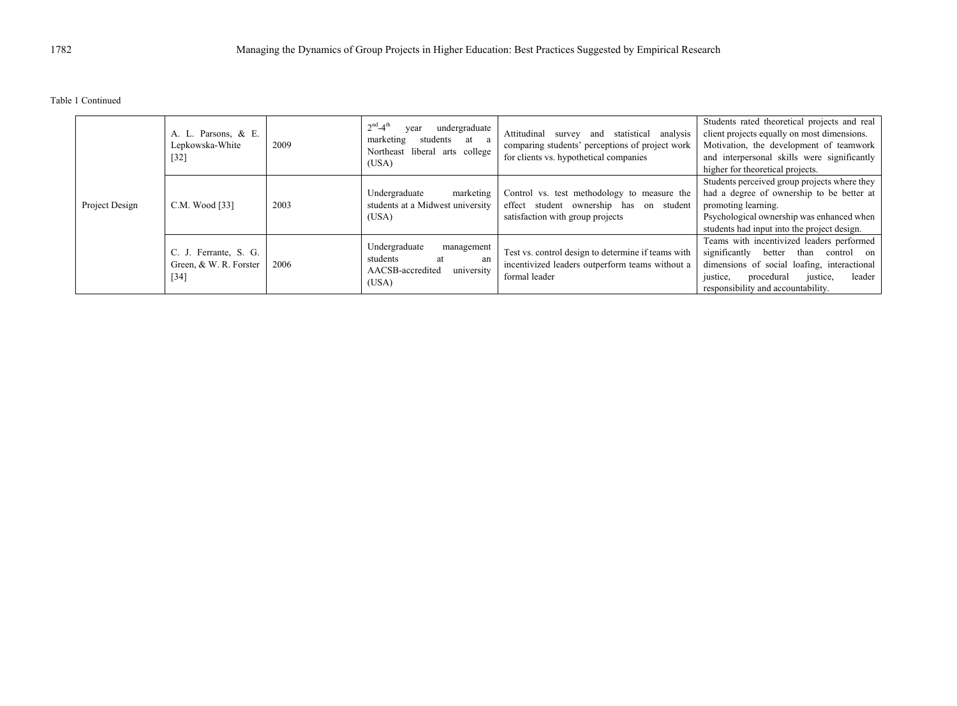Table 1 Continued

|  | A. L. Parsons, & E.<br>Lepkowska-White<br>$[32]$          | 2009           | $2^{nd} - 4^{th}$<br>undergraduate<br>year<br>marketing<br>students at a<br>Northeast liberal arts college<br>(USA) | and statistical<br>analysis<br>Attitudinal<br>survey<br>comparing students' perceptions of project work<br>for clients vs. hypothetical companies | Students rated theoretical projects and real<br>client projects equally on most dimensions.<br>Motivation, the development of teamwork<br>and interpersonal skills were significantly<br>higher for theoretical projects.       |                                                                                                                                                                                                              |
|--|-----------------------------------------------------------|----------------|---------------------------------------------------------------------------------------------------------------------|---------------------------------------------------------------------------------------------------------------------------------------------------|---------------------------------------------------------------------------------------------------------------------------------------------------------------------------------------------------------------------------------|--------------------------------------------------------------------------------------------------------------------------------------------------------------------------------------------------------------|
|  | Project Design                                            | C.M. Wood [33] | 2003                                                                                                                | Undergraduate<br>marketing<br>students at a Midwest university<br>(USA)                                                                           | Control vs. test methodology to measure the<br>effect student ownership has on student<br>satisfaction with group projects                                                                                                      | Students perceived group projects where they<br>had a degree of ownership to be better at<br>promoting learning.<br>Psychological ownership was enhanced when<br>students had input into the project design. |
|  | C. J. Ferrante, S. G.<br>Green, & W. R. Forster<br>$[34]$ | 2006           | Undergraduate<br>management<br>students<br>at<br>an<br>university<br>AACSB-accredited<br>(USA)                      | Test vs. control design to determine if teams with<br>incentivized leaders outperform teams without a<br>formal leader                            | Teams with incentivized leaders performed<br>significantly<br>better<br>than<br>control on<br>dimensions of social loafing, interactional<br>justice,<br>procedural<br>leader<br>justice,<br>responsibility and accountability. |                                                                                                                                                                                                              |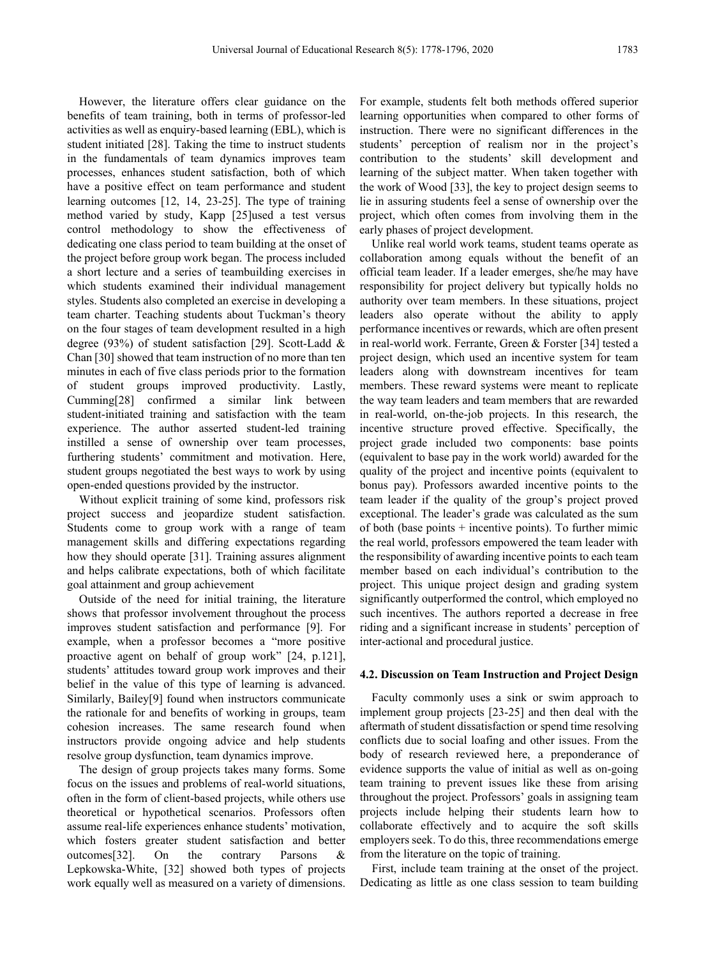However, the literature offers clear guidance on the benefits of team training, both in terms of professor-led activities as well as enquiry-based learning (EBL), which is student initiated [28]. Taking the time to instruct students in the fundamentals of team dynamics improves team processes, enhances student satisfaction, both of which have a positive effect on team performance and student learning outcomes [12, 14, 23-25]. The type of training method varied by study, Kapp [25]used a test versus control methodology to show the effectiveness of dedicating one class period to team building at the onset of the project before group work began. The process included a short lecture and a series of teambuilding exercises in which students examined their individual management styles. Students also completed an exercise in developing a team charter. Teaching students about Tuckman's theory on the four stages of team development resulted in a high degree (93%) of student satisfaction [29]. Scott-Ladd & Chan [30] showed that team instruction of no more than ten minutes in each of five class periods prior to the formation of student groups improved productivity. Lastly, Cumming[28] confirmed a similar link between student-initiated training and satisfaction with the team experience. The author asserted student-led training instilled a sense of ownership over team processes, furthering students' commitment and motivation. Here, student groups negotiated the best ways to work by using open-ended questions provided by the instructor.

Without explicit training of some kind, professors risk project success and jeopardize student satisfaction. Students come to group work with a range of team management skills and differing expectations regarding how they should operate [31]. Training assures alignment and helps calibrate expectations, both of which facilitate goal attainment and group achievement

Outside of the need for initial training, the literature shows that professor involvement throughout the process improves student satisfaction and performance [9]. For example, when a professor becomes a "more positive proactive agent on behalf of group work" [24, p.121], students' attitudes toward group work improves and their belief in the value of this type of learning is advanced. Similarly, Bailey[9] found when instructors communicate the rationale for and benefits of working in groups, team cohesion increases. The same research found when instructors provide ongoing advice and help students resolve group dysfunction, team dynamics improve.

The design of group projects takes many forms. Some focus on the issues and problems of real-world situations, often in the form of client-based projects, while others use theoretical or hypothetical scenarios. Professors often assume real-life experiences enhance students' motivation, which fosters greater student satisfaction and better outcomes[32]. On the contrary Parsons & Lepkowska-White, [32] showed both types of projects work equally well as measured on a variety of dimensions.

For example, students felt both methods offered superior learning opportunities when compared to other forms of instruction. There were no significant differences in the students' perception of realism nor in the project's contribution to the students' skill development and learning of the subject matter. When taken together with the work of Wood [33], the key to project design seems to lie in assuring students feel a sense of ownership over the project, which often comes from involving them in the early phases of project development.

Unlike real world work teams, student teams operate as collaboration among equals without the benefit of an official team leader. If a leader emerges, she/he may have responsibility for project delivery but typically holds no authority over team members. In these situations, project leaders also operate without the ability to apply performance incentives or rewards, which are often present in real-world work. Ferrante, Green & Forster [34] tested a project design, which used an incentive system for team leaders along with downstream incentives for team members. These reward systems were meant to replicate the way team leaders and team members that are rewarded in real-world, on-the-job projects. In this research, the incentive structure proved effective. Specifically, the project grade included two components: base points (equivalent to base pay in the work world) awarded for the quality of the project and incentive points (equivalent to bonus pay). Professors awarded incentive points to the team leader if the quality of the group's project proved exceptional. The leader's grade was calculated as the sum of both (base points + incentive points). To further mimic the real world, professors empowered the team leader with the responsibility of awarding incentive points to each team member based on each individual's contribution to the project. This unique project design and grading system significantly outperformed the control, which employed no such incentives. The authors reported a decrease in free riding and a significant increase in students' perception of inter-actional and procedural justice.

#### **4.2. Discussion on Team Instruction and Project Design**

Faculty commonly uses a sink or swim approach to implement group projects [23-25] and then deal with the aftermath of student dissatisfaction or spend time resolving conflicts due to social loafing and other issues. From the body of research reviewed here, a preponderance of evidence supports the value of initial as well as on-going team training to prevent issues like these from arising throughout the project. Professors' goals in assigning team projects include helping their students learn how to collaborate effectively and to acquire the soft skills employers seek. To do this, three recommendations emerge from the literature on the topic of training.

First, include team training at the onset of the project. Dedicating as little as one class session to team building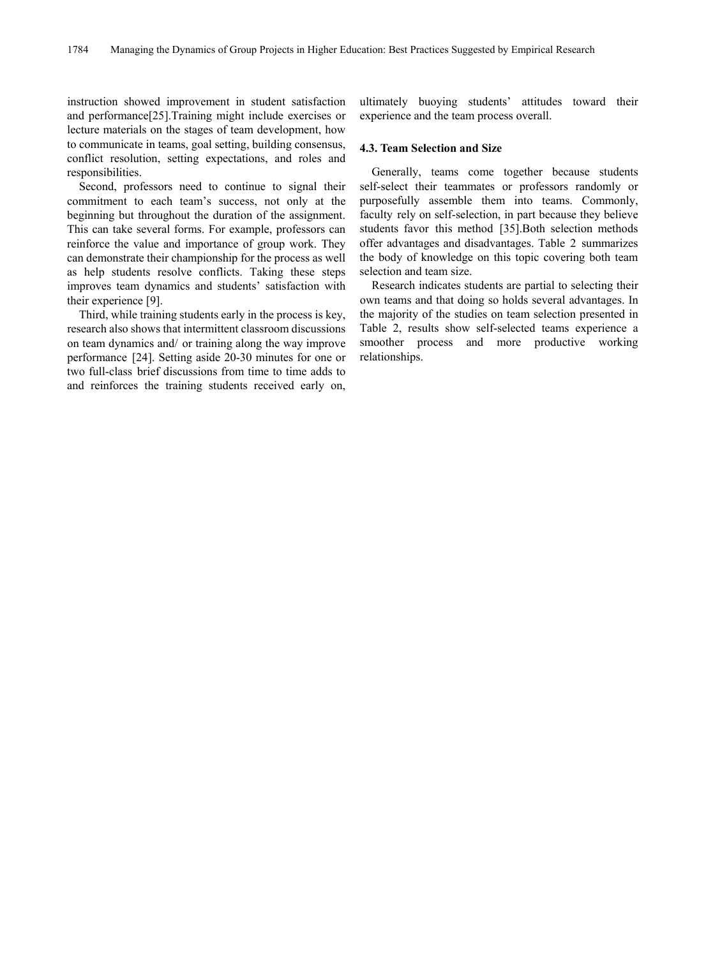instruction showed improvement in student satisfaction and performance[25].Training might include exercises or lecture materials on the stages of team development, how to communicate in teams, goal setting, building consensus, conflict resolution, setting expectations, and roles and responsibilities.

Second, professors need to continue to signal their commitment to each team's success, not only at the beginning but throughout the duration of the assignment. This can take several forms. For example, professors can reinforce the value and importance of group work. They can demonstrate their championship for the process as well as help students resolve conflicts. Taking these steps improves team dynamics and students' satisfaction with their experience [9].

Third, while training students early in the process is key, research also shows that intermittent classroom discussions on team dynamics and/ or training along the way improve performance [24]. Setting aside 20-30 minutes for one or two full-class brief discussions from time to time adds to and reinforces the training students received early on,

ultimately buoying students' attitudes toward their experience and the team process overall.

## **4.3. Team Selection and Size**

Generally, teams come together because students self-select their teammates or professors randomly or purposefully assemble them into teams. Commonly, faculty rely on self-selection, in part because they believe students favor this method [35].Both selection methods offer advantages and disadvantages. Table 2 summarizes the body of knowledge on this topic covering both team selection and team size.

Research indicates students are partial to selecting their own teams and that doing so holds several advantages. In the majority of the studies on team selection presented in Table 2, results show self-selected teams experience a smoother process and more productive working relationships.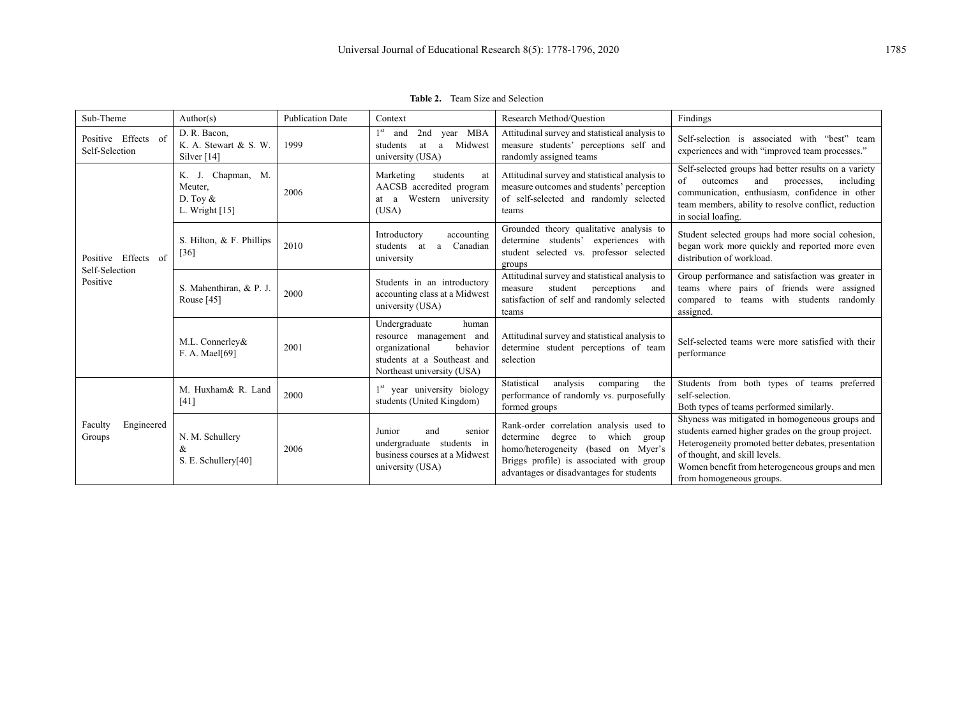| Team Size and Selection<br>Table 2. |  |
|-------------------------------------|--|
|-------------------------------------|--|

| Sub-Theme                             | Author(s)                                                      | <b>Publication Date</b> | Context                                                                                                                                      | Research Method/Ouestion                                                                                                                                                                                        | Findings                                                                                                                                                                                                                                                                      |
|---------------------------------------|----------------------------------------------------------------|-------------------------|----------------------------------------------------------------------------------------------------------------------------------------------|-----------------------------------------------------------------------------------------------------------------------------------------------------------------------------------------------------------------|-------------------------------------------------------------------------------------------------------------------------------------------------------------------------------------------------------------------------------------------------------------------------------|
| Positive Effects of<br>Self-Selection | D. R. Bacon,<br>K. A. Stewart & S. W.<br>Silver $[14]$         | 1999                    | $1^{\rm st}$<br>2nd year MBA<br>and<br>Midwest<br>a<br>students<br>at<br>university (USA)                                                    | Attitudinal survey and statistical analysis to<br>measure students' perceptions self and<br>randomly assigned teams                                                                                             | Self-selection is associated with "best" team<br>experiences and with "improved team processes."                                                                                                                                                                              |
|                                       | K. J. Chapman, M.<br>Meuter.<br>D. Toy $&$<br>L. Wright $[15]$ | 2006                    | Marketing<br>students<br>at<br>AACSB accredited program<br>at a Western university<br>(USA)                                                  | Attitudinal survey and statistical analysis to<br>measure outcomes and students' perception<br>of self-selected and randomly selected<br>teams                                                                  | Self-selected groups had better results on a variety<br>and<br>of<br>outcomes<br>including<br>processes,<br>communication, enthusiasm, confidence in other<br>team members, ability to resolve conflict, reduction<br>in social loafing.                                      |
| Positive Effects of<br>Self-Selection | S. Hilton, & F. Phillips<br>$[36]$                             | 2010                    | Introductory<br>accounting<br>students at a Canadian<br>university                                                                           | Grounded theory qualitative analysis to<br>determine students' experiences with<br>student selected vs. professor selected<br>groups                                                                            | Student selected groups had more social cohesion,<br>began work more quickly and reported more even<br>distribution of workload.                                                                                                                                              |
| Positive                              | S. Mahenthiran, & P. J.<br>Rouse $[45]$                        | 2000                    | Students in an introductory<br>accounting class at a Midwest<br>university (USA)                                                             | Attitudinal survey and statistical analysis to<br>student<br>perceptions<br>measure<br>and<br>satisfaction of self and randomly selected<br>teams                                                               | Group performance and satisfaction was greater in<br>teams where pairs of friends were assigned<br>compared to teams with students randomly<br>assigned.                                                                                                                      |
|                                       | M.L. Connerley&<br>F. A. Mael[69]                              | 2001                    | Undergraduate<br>human<br>resource management and<br>organizational<br>behavior<br>students at a Southeast and<br>Northeast university (USA) | Attitudinal survey and statistical analysis to<br>determine student perceptions of team<br>selection                                                                                                            | Self-selected teams were more satisfied with their<br>performance                                                                                                                                                                                                             |
|                                       | M. Huxham& R. Land<br>$[41]$                                   | 2000                    | 1 <sup>st</sup> year university biology<br>students (United Kingdom)                                                                         | analysis<br>Statistical<br>comparing<br>the<br>performance of randomly vs. purposefully<br>formed groups                                                                                                        | Students from both types of teams preferred<br>self-selection.<br>Both types of teams performed similarly.                                                                                                                                                                    |
| Engineered<br>Faculty<br>Groups       | N. M. Schullery<br>&<br>S. E. Schullery[40]                    | 2006                    | Junior<br>senior<br>and<br>undergraduate students in<br>business courses at a Midwest<br>university (USA)                                    | Rank-order correlation analysis used to<br>determine degree<br>to which<br>group<br>homo/heterogeneity (based on Myer's<br>Briggs profile) is associated with group<br>advantages or disadvantages for students | Shyness was mitigated in homogeneous groups and<br>students earned higher grades on the group project.<br>Heterogeneity promoted better debates, presentation<br>of thought, and skill levels.<br>Women benefit from heterogeneous groups and men<br>from homogeneous groups. |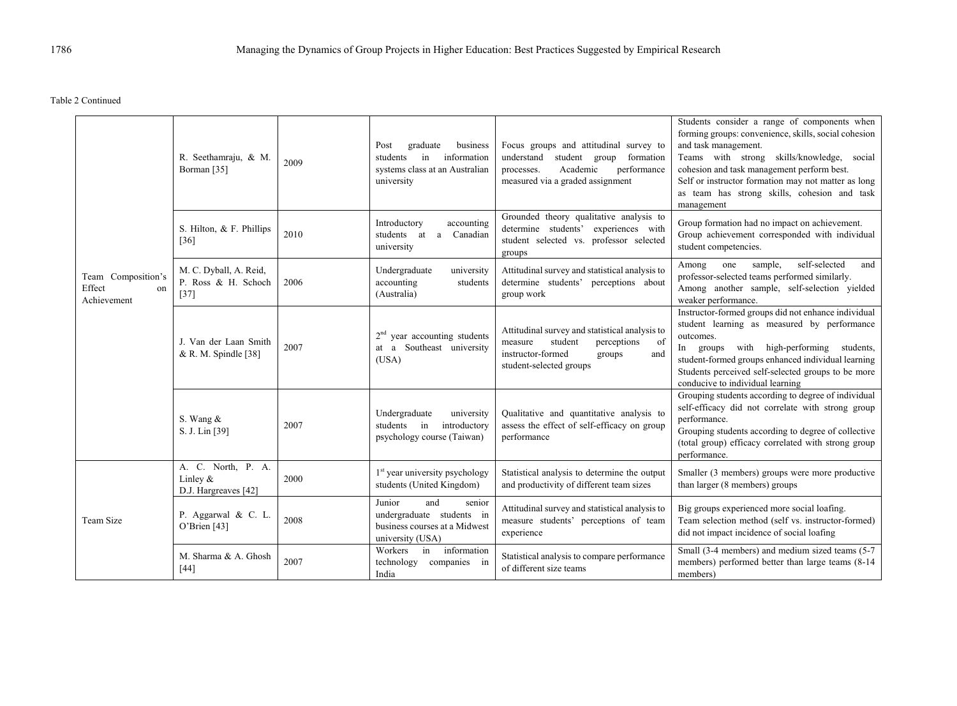Table 2 Continued

|                                                   | R. Seethamraju, & M.<br>Borman <sup>[35]</sup>           | 2009 | Post<br>graduate<br>business<br>information<br>students<br>in<br>systems class at an Australian<br>university | Focus groups and attitudinal survey to<br>understand<br>student group<br>formation<br>Academic<br>performance<br>processes.<br>measured via a graded assignment | Students consider a range of components when<br>forming groups: convenience, skills, social cohesion<br>and task management.<br>Teams with strong skills/knowledge, social<br>cohesion and task management perform best.<br>Self or instructor formation may not matter as long<br>as team has strong skills, cohesion and task<br>management |
|---------------------------------------------------|----------------------------------------------------------|------|---------------------------------------------------------------------------------------------------------------|-----------------------------------------------------------------------------------------------------------------------------------------------------------------|-----------------------------------------------------------------------------------------------------------------------------------------------------------------------------------------------------------------------------------------------------------------------------------------------------------------------------------------------|
|                                                   | S. Hilton, & F. Phillips<br>$[36]$                       | 2010 | Introductory<br>accounting<br>students at a Canadian<br>university                                            | Grounded theory qualitative analysis to<br>determine students' experiences with<br>student selected vs. professor selected<br>groups                            | Group formation had no impact on achievement.<br>Group achievement corresponded with individual<br>student competencies.                                                                                                                                                                                                                      |
| Team Composition's<br>Effect<br>on<br>Achievement | M. C. Dyball, A. Reid,<br>P. Ross & H. Schoch<br>$[37]$  | 2006 | Undergraduate<br>university<br>accounting<br>students<br>(Australia)                                          | Attitudinal survey and statistical analysis to<br>determine students' perceptions about<br>group work                                                           | sample,<br>self-selected<br>and<br>Among<br>one<br>professor-selected teams performed similarly.<br>Among another sample, self-selection yielded<br>weaker performance.                                                                                                                                                                       |
|                                                   | J. Van der Laan Smith<br>& R. M. Spindle $[38]$          | 2007 | $2nd$ year accounting students<br>at a Southeast university<br>(USA)                                          | Attitudinal survey and statistical analysis to<br>student<br>perceptions<br>of<br>measure<br>instructor-formed<br>groups<br>and<br>student-selected groups      | Instructor-formed groups did not enhance individual<br>student learning as measured by performance<br>outcomes.<br>In groups with high-performing students,<br>student-formed groups enhanced individual learning<br>Students perceived self-selected groups to be more<br>conducive to individual learning                                   |
|                                                   | S. Wang &<br>S. J. Lin [39]                              | 2007 | Undergraduate<br>university<br>in<br>students<br>introductory<br>psychology course (Taiwan)                   | Qualitative and quantitative analysis to<br>assess the effect of self-efficacy on group<br>performance                                                          | Grouping students according to degree of individual<br>self-efficacy did not correlate with strong group<br>performance.<br>Grouping students according to degree of collective<br>(total group) efficacy correlated with strong group<br>performance.                                                                                        |
| Team Size                                         | A. C. North, P. A.<br>Linley $&$<br>D.J. Hargreaves [42] | 2000 | $1st$ year university psychology<br>students (United Kingdom)                                                 | Statistical analysis to determine the output<br>and productivity of different team sizes                                                                        | Smaller (3 members) groups were more productive<br>than larger (8 members) groups                                                                                                                                                                                                                                                             |
|                                                   | P. Aggarwal & C. L.<br>O'Brien [43]                      | 2008 | Junior<br>and<br>senior<br>undergraduate students in<br>business courses at a Midwest<br>university (USA)     | Attitudinal survey and statistical analysis to<br>measure students' perceptions of team<br>experience                                                           | Big groups experienced more social loafing.<br>Team selection method (self vs. instructor-formed)<br>did not impact incidence of social loafing                                                                                                                                                                                               |
|                                                   | M. Sharma & A. Ghosh<br>$[44]$                           | 2007 | information<br>in<br>Workers<br>technology<br>companies in<br>India                                           | Statistical analysis to compare performance<br>of different size teams                                                                                          | Small (3-4 members) and medium sized teams (5-7<br>members) performed better than large teams (8-14<br>members)                                                                                                                                                                                                                               |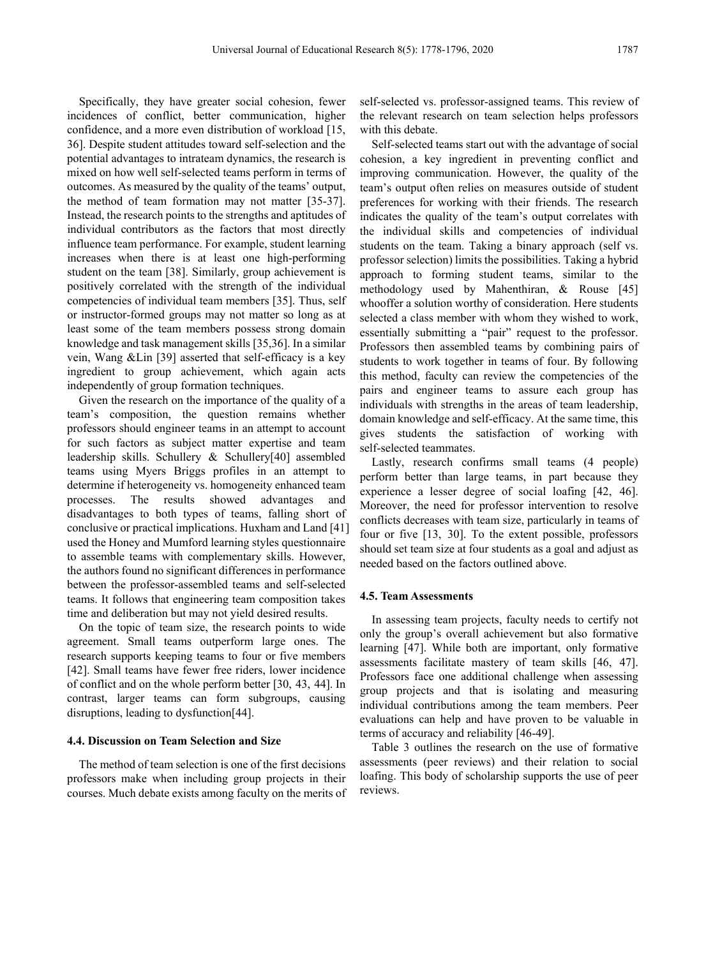Specifically, they have greater social cohesion, fewer incidences of conflict, better communication, higher confidence, and a more even distribution of workload [15, 36]. Despite student attitudes toward self-selection and the potential advantages to intrateam dynamics, the research is mixed on how well self-selected teams perform in terms of outcomes. As measured by the quality of the teams' output, the method of team formation may not matter [35-37]. Instead, the research points to the strengths and aptitudes of individual contributors as the factors that most directly influence team performance. For example, student learning increases when there is at least one high-performing student on the team [38]. Similarly, group achievement is positively correlated with the strength of the individual competencies of individual team members [35]. Thus, self or instructor-formed groups may not matter so long as at least some of the team members possess strong domain knowledge and task management skills [35,36]. In a similar vein, Wang &Lin [39] asserted that self-efficacy is a key ingredient to group achievement, which again acts independently of group formation techniques.

Given the research on the importance of the quality of a team's composition, the question remains whether professors should engineer teams in an attempt to account for such factors as subject matter expertise and team leadership skills. Schullery & Schullery[40] assembled teams using Myers Briggs profiles in an attempt to determine if heterogeneity vs. homogeneity enhanced team processes. The results showed advantages and disadvantages to both types of teams, falling short of conclusive or practical implications. Huxham and Land [41] used the Honey and Mumford learning styles questionnaire to assemble teams with complementary skills. However, the authors found no significant differences in performance between the professor-assembled teams and self-selected teams. It follows that engineering team composition takes time and deliberation but may not yield desired results.

On the topic of team size, the research points to wide agreement. Small teams outperform large ones. The research supports keeping teams to four or five members [42]. Small teams have fewer free riders, lower incidence of conflict and on the whole perform better [30, 43, 44]. In contrast, larger teams can form subgroups, causing disruptions, leading to dysfunction[44].

## **4.4. Discussion on Team Selection and Size**

The method of team selection is one of the first decisions professors make when including group projects in their courses. Much debate exists among faculty on the merits of self-selected vs. professor-assigned teams. This review of the relevant research on team selection helps professors with this debate.

Self-selected teams start out with the advantage of social cohesion, a key ingredient in preventing conflict and improving communication. However, the quality of the team's output often relies on measures outside of student preferences for working with their friends. The research indicates the quality of the team's output correlates with the individual skills and competencies of individual students on the team. Taking a binary approach (self vs. professor selection) limits the possibilities. Taking a hybrid approach to forming student teams, similar to the methodology used by Mahenthiran, & Rouse [45] whooffer a solution worthy of consideration. Here students selected a class member with whom they wished to work, essentially submitting a "pair" request to the professor. Professors then assembled teams by combining pairs of students to work together in teams of four. By following this method, faculty can review the competencies of the pairs and engineer teams to assure each group has individuals with strengths in the areas of team leadership, domain knowledge and self-efficacy. At the same time, this gives students the satisfaction of working with self-selected teammates.

Lastly, research confirms small teams (4 people) perform better than large teams, in part because they experience a lesser degree of social loafing [42, 46]. Moreover, the need for professor intervention to resolve conflicts decreases with team size, particularly in teams of four or five [13, 30]. To the extent possible, professors should set team size at four students as a goal and adjust as needed based on the factors outlined above.

## **4.5. Team Assessments**

In assessing team projects, faculty needs to certify not only the group's overall achievement but also formative learning [47]. While both are important, only formative assessments facilitate mastery of team skills [46, 47]. Professors face one additional challenge when assessing group projects and that is isolating and measuring individual contributions among the team members. Peer evaluations can help and have proven to be valuable in terms of accuracy and reliability [46-49].

Table 3 outlines the research on the use of formative assessments (peer reviews) and their relation to social loafing. This body of scholarship supports the use of peer reviews.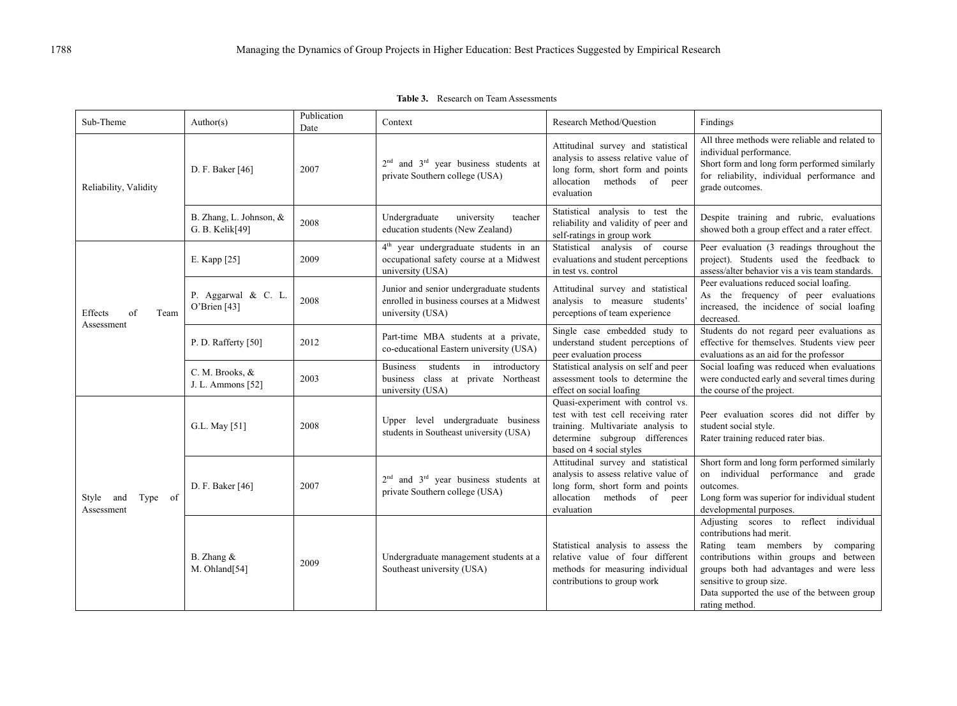| Sub-Theme                          | Author(s)                                  | Publication<br>Date | Context                                                                                                          | Research Method/Question                                                                                                                                                     | Findings                                                                                                                                                                                                                                                                                   |
|------------------------------------|--------------------------------------------|---------------------|------------------------------------------------------------------------------------------------------------------|------------------------------------------------------------------------------------------------------------------------------------------------------------------------------|--------------------------------------------------------------------------------------------------------------------------------------------------------------------------------------------------------------------------------------------------------------------------------------------|
| Reliability, Validity              | D. F. Baker [46]                           | 2007                | $2nd$ and $3rd$ year business students at<br>private Southern college (USA)                                      | Attitudinal survey and statistical<br>analysis to assess relative value of<br>long form, short form and points<br>allocation<br>methods of<br>peer<br>evaluation             | All three methods were reliable and related to<br>individual performance.<br>Short form and long form performed similarly<br>for reliability, individual performance and<br>grade outcomes.                                                                                                |
|                                    | B. Zhang, L. Johnson, &<br>G. B. Kelik[49] | 2008                | Undergraduate<br>university<br>teacher<br>education students (New Zealand)                                       | Statistical analysis to test the<br>reliability and validity of peer and<br>self-ratings in group work                                                                       | Despite training and rubric, evaluations<br>showed both a group effect and a rater effect.                                                                                                                                                                                                 |
|                                    | E. Kapp [25]                               | 2009                | 4 <sup>th</sup> year undergraduate students in an<br>occupational safety course at a Midwest<br>university (USA) | Statistical analysis of course<br>evaluations and student perceptions<br>in test vs. control                                                                                 | Peer evaluation (3 readings throughout the<br>project). Students used the feedback to<br>assess/alter behavior vis a vis team standards.                                                                                                                                                   |
| of<br>Effects<br>Team              | P. Aggarwal & C. L.<br>O'Brien [43]        | 2008                | Junior and senior undergraduate students<br>enrolled in business courses at a Midwest<br>university (USA)        | Attitudinal survey and statistical<br>analysis to measure students'<br>perceptions of team experience                                                                        | Peer evaluations reduced social loafing.<br>As the frequency of peer evaluations<br>increased, the incidence of social loafing<br>decreased.                                                                                                                                               |
| Assessment                         | P. D. Rafferty [50]                        | 2012                | Part-time MBA students at a private,<br>co-educational Eastern university (USA)                                  | Single case embedded study to<br>understand student perceptions of<br>peer evaluation process                                                                                | Students do not regard peer evaluations as<br>effective for themselves. Students view peer<br>evaluations as an aid for the professor                                                                                                                                                      |
|                                    | C. M. Brooks, &<br>J. L. Ammons [52]       | 2003                | students<br>in introductory<br><b>Business</b><br>business class at private Northeast<br>university (USA)        | Statistical analysis on self and peer<br>assessment tools to determine the<br>effect on social loafing                                                                       | Social loafing was reduced when evaluations<br>were conducted early and several times during<br>the course of the project.                                                                                                                                                                 |
|                                    | G.L. May [51]                              | 2008                | Upper level undergraduate business<br>students in Southeast university (USA)                                     | Quasi-experiment with control vs.<br>test with test cell receiving rater<br>training. Multivariate analysis to<br>determine subgroup differences<br>based on 4 social styles | Peer evaluation scores did not differ by<br>student social style.<br>Rater training reduced rater bias.                                                                                                                                                                                    |
| Type of<br>Style and<br>Assessment | D. F. Baker [46]                           | 2007                | $2nd$ and $3rd$ year business students at<br>private Southern college (USA)                                      | Attitudinal survey and statistical<br>analysis to assess relative value of<br>long form, short form and points<br>allocation<br>methods of<br>peer<br>evaluation             | Short form and long form performed similarly<br>on individual performance and grade<br>outcomes.<br>Long form was superior for individual student<br>developmental purposes.                                                                                                               |
|                                    | B. Zhang &<br>M. Ohland[54]                | 2009                | Undergraduate management students at a<br>Southeast university (USA)                                             | Statistical analysis to assess the<br>relative value of four different<br>methods for measuring individual<br>contributions to group work                                    | Adjusting scores to reflect individual<br>contributions had merit.<br>Rating team members by comparing<br>contributions within groups and between<br>groups both had advantages and were less<br>sensitive to group size.<br>Data supported the use of the between group<br>rating method. |

**Table 3.** Research on Team Assessments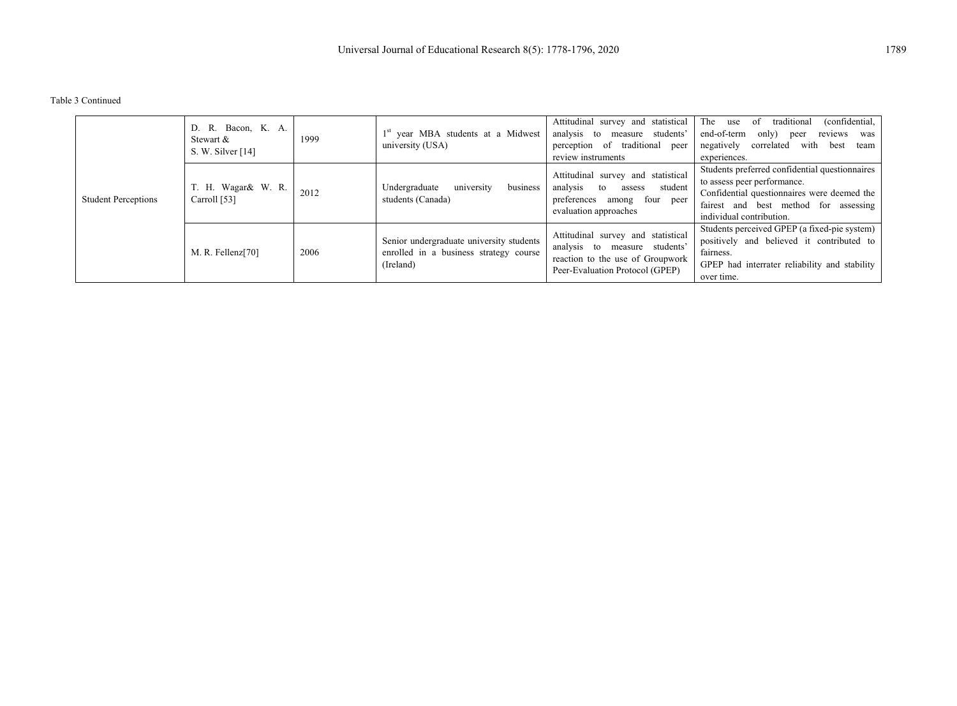Table 3 Continued

|                            | D. R. Bacon, K. A.<br>Stewart &<br>S. W. Silver $[14]$ | 1999 | 1 <sup>st</sup> year MBA students at a Midwest<br>university (USA)                              | Attitudinal survey and statistical<br>analysis to measure students'<br>traditional peer<br>perception of<br>review instruments             | The<br>(confidential,<br>traditional<br>use<br>of<br>end-of-term<br>only)<br>reviews<br>peer<br>was<br>negatively<br>correlated<br>with<br>best<br>team<br>experiences.                           |
|----------------------------|--------------------------------------------------------|------|-------------------------------------------------------------------------------------------------|--------------------------------------------------------------------------------------------------------------------------------------------|---------------------------------------------------------------------------------------------------------------------------------------------------------------------------------------------------|
| <b>Student Perceptions</b> | T. H. Wagar & W. R.<br>Carroll [53]                    | 2012 | university<br>business<br>Undergraduate<br>students (Canada)                                    | Attitudinal survey and statistical<br>analysis<br>student<br>to<br>assess<br>four peer<br>preferences<br>among<br>evaluation approaches    | Students preferred confidential questionnaires<br>to assess peer performance.<br>Confidential questionnaires were deemed the<br>fairest and best method for assessing<br>individual contribution. |
|                            | M. R. Fellenz $[70]$                                   | 2006 | Senior undergraduate university students<br>enrolled in a business strategy course<br>(Ireland) | Attitudinal survey and statistical<br>analysis to measure students'<br>reaction to the use of Groupwork<br>Peer-Evaluation Protocol (GPEP) | Students perceived GPEP (a fixed-pie system)<br>positively and believed it contributed to<br>fairness.<br>GPEP had interrater reliability and stability<br>over time.                             |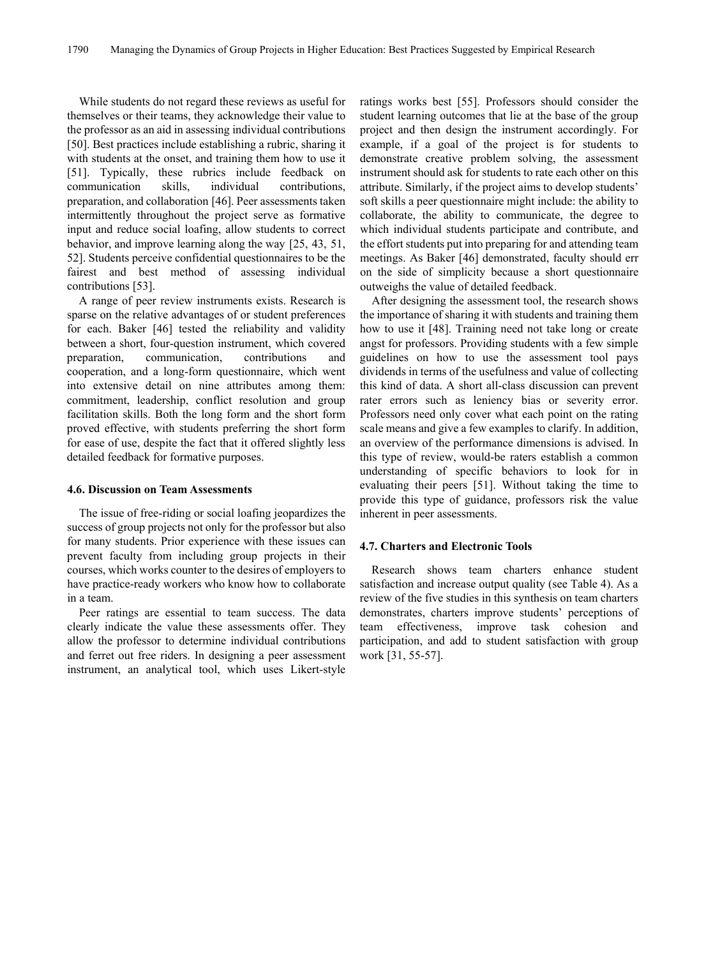While students do not regard these reviews as useful for themselves or their teams, they acknowledge their value to the professor as an aid in assessing individual contributions [50]. Best practices include establishing a rubric, sharing it with students at the onset, and training them how to use it [51]. Typically, these rubrics include feedback on communication skills, individual contributions. communication skills, individual preparation, and collaboration [46]. Peer assessments taken intermittently throughout the project serve as formative input and reduce social loafing, allow students to correct behavior, and improve learning along the way [25, 43, 51, 52]. Students perceive confidential questionnaires to be the fairest and best method of assessing individual contributions [53].

A range of peer review instruments exists. Research is sparse on the relative advantages of or student preferences for each. Baker [46] tested the reliability and validity between a short, four-question instrument, which covered preparation, communication, contributions and cooperation, and a long-form questionnaire, which went into extensive detail on nine attributes among them: commitment, leadership, conflict resolution and group facilitation skills. Both the long form and the short form proved effective, with students preferring the short form for ease of use, despite the fact that it offered slightly less detailed feedback for formative purposes.

#### **4.6. Discussion on Team Assessments**

The issue of free-riding or social loafing jeopardizes the success of group projects not only for the professor but also for many students. Prior experience with these issues can prevent faculty from including group projects in their courses, which works counter to the desires of employers to have practice-ready workers who know how to collaborate in a team.

Peer ratings are essential to team success. The data clearly indicate the value these assessments offer. They allow the professor to determine individual contributions and ferret out free riders. In designing a peer assessment instrument, an analytical tool, which uses Likert-style

ratings works best [55]. Professors should consider the student learning outcomes that lie at the base of the group project and then design the instrument accordingly. For example, if a goal of the project is for students to demonstrate creative problem solving, the assessment instrument should ask for students to rate each other on this attribute. Similarly, if the project aims to develop students' soft skills a peer questionnaire might include: the ability to collaborate, the ability to communicate, the degree to which individual students participate and contribute, and the effort students put into preparing for and attending team meetings. As Baker [46] demonstrated, faculty should err on the side of simplicity because a short questionnaire outweighs the value of detailed feedback.

After designing the assessment tool, the research shows the importance of sharing it with students and training them how to use it [48]. Training need not take long or create angst for professors. Providing students with a few simple guidelines on how to use the assessment tool pays dividends in terms of the usefulness and value of collecting this kind of data. A short all-class discussion can prevent rater errors such as leniency bias or severity error. Professors need only cover what each point on the rating scale means and give a few examples to clarify. In addition, an overview of the performance dimensions is advised. In this type of review, would-be raters establish a common understanding of specific behaviors to look for in evaluating their peers [51]. Without taking the time to provide this type of guidance, professors risk the value inherent in peer assessments.

# **4.7. Charters and Electronic Tools**

Research shows team charters enhance student satisfaction and increase output quality (see Table 4). As a review of the five studies in this synthesis on team charters demonstrates, charters improve students' perceptions of team effectiveness, improve task cohesion and participation, and add to student satisfaction with group work [31, 55-57].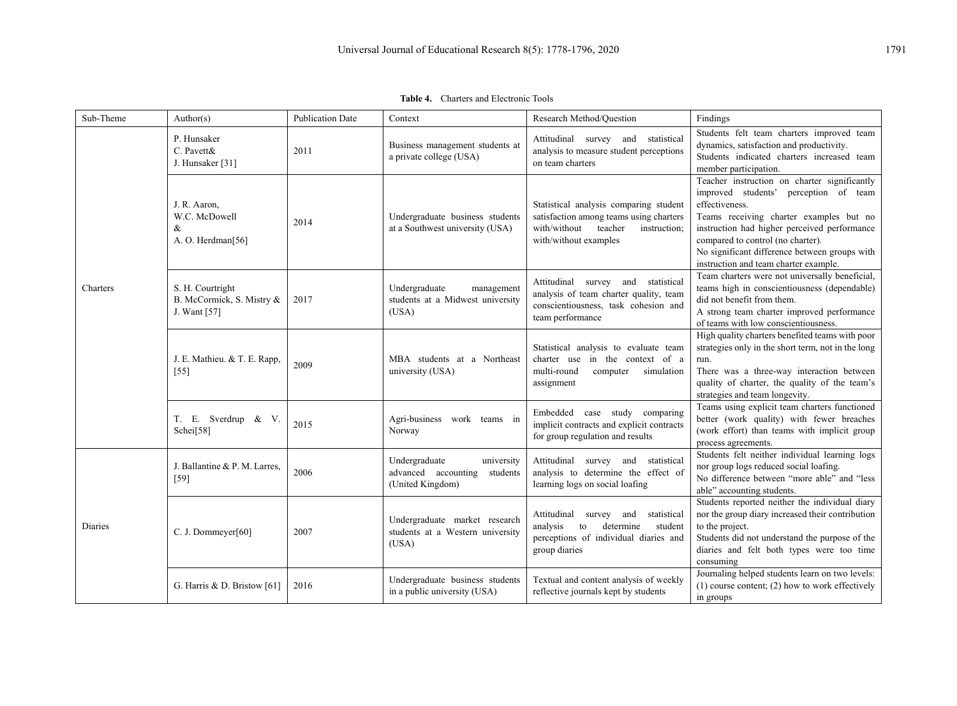| Sub-Theme | Author(s)                                                     | <b>Publication Date</b> | Context                                                                         | Research Method/Question                                                                                                                              | Findings                                                                                                                                                                                                                                                                                                                          |
|-----------|---------------------------------------------------------------|-------------------------|---------------------------------------------------------------------------------|-------------------------------------------------------------------------------------------------------------------------------------------------------|-----------------------------------------------------------------------------------------------------------------------------------------------------------------------------------------------------------------------------------------------------------------------------------------------------------------------------------|
|           | P. Hunsaker<br>C. Pavett&<br>J. Hunsaker [31]                 | 2011                    | Business management students at<br>a private college (USA)                      | Attitudinal survey and statistical<br>analysis to measure student perceptions<br>on team charters                                                     | Students felt team charters improved team<br>dynamics, satisfaction and productivity.<br>Students indicated charters increased team<br>member participation.                                                                                                                                                                      |
|           | J. R. Aaron,<br>W.C. McDowell<br>&<br>A. O. Herdman[56]       | 2014                    | Undergraduate business students<br>at a Southwest university (USA)              | Statistical analysis comparing student<br>satisfaction among teams using charters<br>with/without<br>teacher<br>instruction;<br>with/without examples | Teacher instruction on charter significantly<br>improved students' perception of team<br>effectiveness.<br>Teams receiving charter examples but no<br>instruction had higher perceived performance<br>compared to control (no charter).<br>No significant difference between groups with<br>instruction and team charter example. |
| Charters  | S. H. Courtright<br>B. McCormick, S. Mistry &<br>J. Want [57] | 2017                    | Undergraduate<br>management<br>students at a Midwest university<br>(USA)        | Attitudinal survey and statistical<br>analysis of team charter quality, team<br>conscientiousness, task cohesion and<br>team performance              | Team charters were not universally beneficial,<br>teams high in conscientiousness (dependable)<br>did not benefit from them.<br>A strong team charter improved performance<br>of teams with low conscientiousness.                                                                                                                |
|           | J. E. Mathieu. & T. E. Rapp.<br>$[55]$                        | 2009                    | MBA students at a Northeast<br>university (USA)                                 | Statistical analysis to evaluate team<br>charter use in the context of a<br>multi-round<br>computer<br>simulation<br>assignment                       | High quality charters benefited teams with poor<br>strategies only in the short term, not in the long<br>run.<br>There was a three-way interaction between<br>quality of charter, the quality of the team's<br>strategies and team longevity.                                                                                     |
|           | T. E. Sverdrup & V.<br>Schei[58]                              | 2015                    | Agri-business work teams in<br>Norway                                           | Embedded case study comparing<br>implicit contracts and explicit contracts<br>for group regulation and results                                        | Teams using explicit team charters functioned<br>better (work quality) with fewer breaches<br>(work effort) than teams with implicit group<br>process agreements.                                                                                                                                                                 |
| Diaries   | J. Ballantine & P. M. Larres,<br>$[59]$                       | 2006                    | Undergraduate<br>university<br>advanced accounting students<br>(United Kingdom) | Attitudinal survey and statistical<br>analysis to determine the effect of<br>learning logs on social loafing                                          | Students felt neither individual learning logs<br>nor group logs reduced social loafing.<br>No difference between "more able" and "less<br>able" accounting students.                                                                                                                                                             |
|           | C. J. Dommeyer $[60]$                                         | 2007                    | Undergraduate market research<br>students at a Western university<br>(USA)      | Attitudinal<br>statistical<br>survey<br>and<br>analysis<br>to<br>determine<br>student<br>perceptions of individual diaries and<br>group diaries       | Students reported neither the individual diary<br>nor the group diary increased their contribution<br>to the project.<br>Students did not understand the purpose of the<br>diaries and felt both types were too time<br>consuming                                                                                                 |
|           | G. Harris & D. Bristow [61]                                   | 2016                    | Undergraduate business students<br>in a public university (USA)                 | Textual and content analysis of weekly<br>reflective journals kept by students                                                                        | Journaling helped students learn on two levels:<br>$(1)$ course content; $(2)$ how to work effectively<br>in groups                                                                                                                                                                                                               |

**Table 4.** Charters and Electronic Tools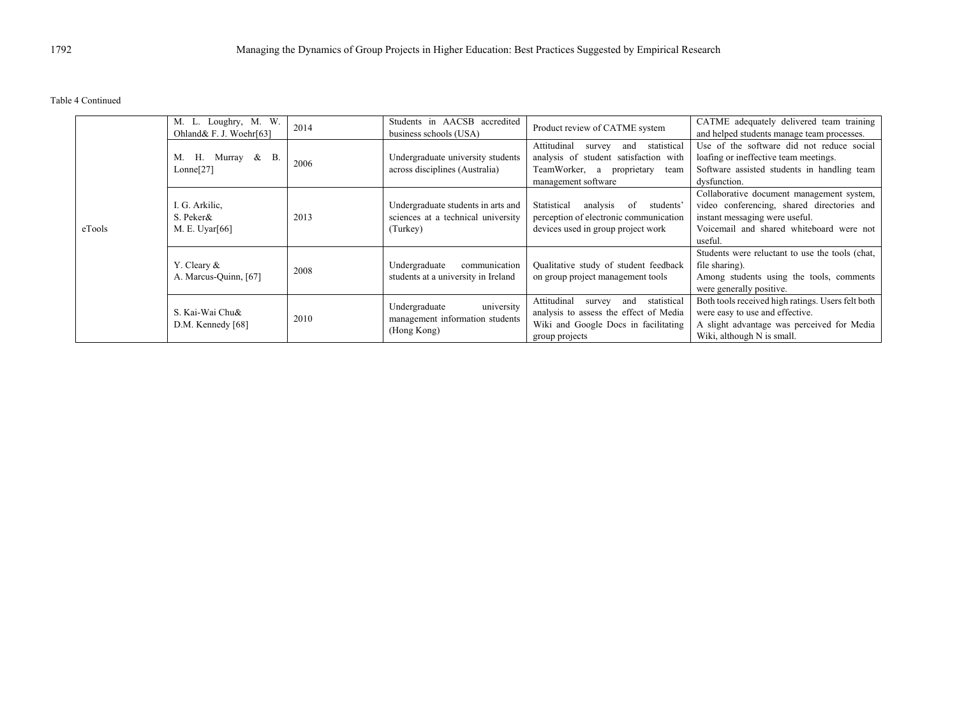Table 4 Continued

|        | M. L. Loughry, M. W.<br>Ohland& F. J. Woehr[63] | 2014 | Students in AACSB accredited<br>business schools (USA)                               | Product review of CATME system                                                                                                                      | CATME adequately delivered team training<br>and helped students manage team processes.                                                                                           |
|--------|-------------------------------------------------|------|--------------------------------------------------------------------------------------|-----------------------------------------------------------------------------------------------------------------------------------------------------|----------------------------------------------------------------------------------------------------------------------------------------------------------------------------------|
|        | Н.<br>Murray & B.<br>M.<br>Lonne[27]            | 2006 | Undergraduate university students<br>across disciplines (Australia)                  | Attitudinal<br>statistical<br>and<br>survey<br>analysis of student satisfaction with<br>TeamWorker, a<br>proprietary<br>team<br>management software | Use of the software did not reduce social<br>loafing or ineffective team meetings.<br>Software assisted students in handling team<br>dysfunction.                                |
| eTools | I. G. Arkilic,<br>S. Peker&<br>M. E. Uyar[66]   | 2013 | Undergraduate students in arts and<br>sciences at a technical university<br>(Turkey) | Statistical<br>analysis of<br>students'<br>perception of electronic communication<br>devices used in group project work                             | Collaborative document management system,<br>video conferencing, shared directories and<br>instant messaging were useful.<br>Voicemail and shared whiteboard were not<br>useful. |
|        | Y. Cleary $\&$<br>A. Marcus-Quinn, [67]         | 2008 | communication<br>Undergraduate<br>students at a university in Ireland                | Qualitative study of student feedback<br>on group project management tools                                                                          | Students were reluctant to use the tools (chat,<br>file sharing).<br>Among students using the tools, comments<br>were generally positive.                                        |
|        | S. Kai-Wai Chu&<br>D.M. Kennedy [68]            | 2010 | university<br>Undergraduate<br>management information students<br>(Hong Kong)        | and statistical<br>Attitudinal<br>survey<br>analysis to assess the effect of Media<br>Wiki and Google Docs in facilitating<br>group projects        | Both tools received high ratings. Users felt both<br>were easy to use and effective.<br>A slight advantage was perceived for Media<br>Wiki, although N is small.                 |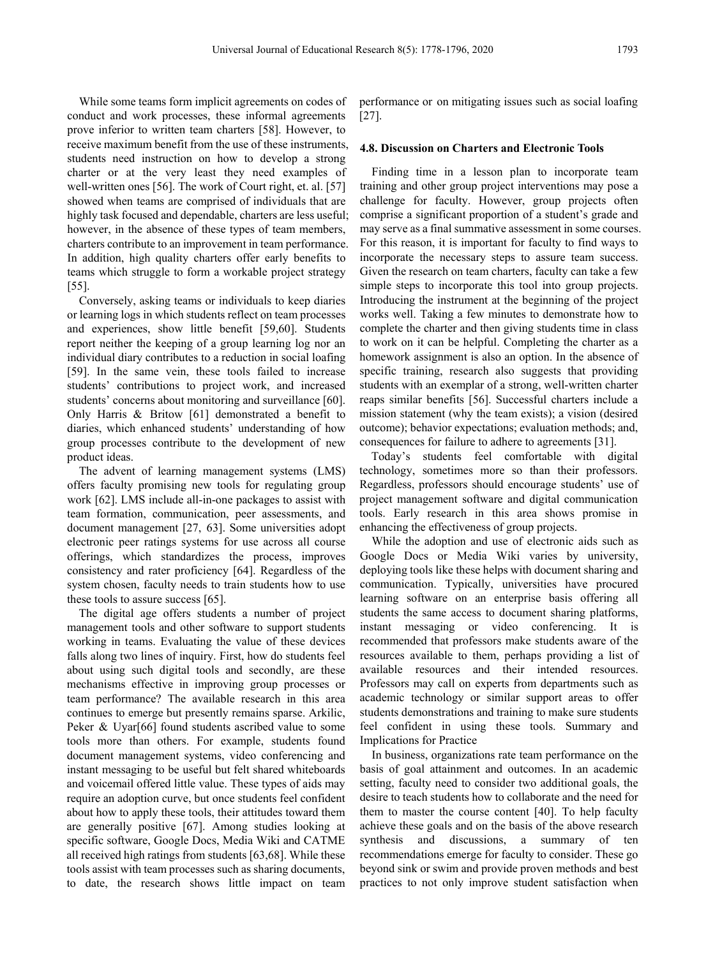While some teams form implicit agreements on codes of conduct and work processes, these informal agreements prove inferior to written team charters [58]. However, to receive maximum benefit from the use of these instruments, students need instruction on how to develop a strong charter or at the very least they need examples of well-written ones [56]. The work of Court right, et. al. [57] showed when teams are comprised of individuals that are highly task focused and dependable, charters are less useful; however, in the absence of these types of team members, charters contribute to an improvement in team performance. In addition, high quality charters offer early benefits to teams which struggle to form a workable project strategy [55].

Conversely, asking teams or individuals to keep diaries or learning logs in which students reflect on team processes and experiences, show little benefit [59,60]. Students report neither the keeping of a group learning log nor an individual diary contributes to a reduction in social loafing [59]. In the same vein, these tools failed to increase students' contributions to project work, and increased students' concerns about monitoring and surveillance [60]. Only Harris & Britow [61] demonstrated a benefit to diaries, which enhanced students' understanding of how group processes contribute to the development of new product ideas.

The advent of learning management systems (LMS) offers faculty promising new tools for regulating group work [62]. LMS include all-in-one packages to assist with team formation, communication, peer assessments, and document management [27, 63]. Some universities adopt electronic peer ratings systems for use across all course offerings, which standardizes the process, improves consistency and rater proficiency [64]. Regardless of the system chosen, faculty needs to train students how to use these tools to assure success [65].

The digital age offers students a number of project management tools and other software to support students working in teams. Evaluating the value of these devices falls along two lines of inquiry. First, how do students feel about using such digital tools and secondly, are these mechanisms effective in improving group processes or team performance? The available research in this area continues to emerge but presently remains sparse. Arkilic, Peker & Uyar[66] found students ascribed value to some tools more than others. For example, students found document management systems, video conferencing and instant messaging to be useful but felt shared whiteboards and voicemail offered little value. These types of aids may require an adoption curve, but once students feel confident about how to apply these tools, their attitudes toward them are generally positive [67]. Among studies looking at specific software, Google Docs, Media Wiki and CATME all received high ratings from students [63,68]. While these tools assist with team processes such as sharing documents, to date, the research shows little impact on team

performance or on mitigating issues such as social loafing [27].

## **4.8. Discussion on Charters and Electronic Tools**

Finding time in a lesson plan to incorporate team training and other group project interventions may pose a challenge for faculty. However, group projects often comprise a significant proportion of a student's grade and may serve as a final summative assessment in some courses. For this reason, it is important for faculty to find ways to incorporate the necessary steps to assure team success. Given the research on team charters, faculty can take a few simple steps to incorporate this tool into group projects. Introducing the instrument at the beginning of the project works well. Taking a few minutes to demonstrate how to complete the charter and then giving students time in class to work on it can be helpful. Completing the charter as a homework assignment is also an option. In the absence of specific training, research also suggests that providing students with an exemplar of a strong, well-written charter reaps similar benefits [56]. Successful charters include a mission statement (why the team exists); a vision (desired outcome); behavior expectations; evaluation methods; and, consequences for failure to adhere to agreements [31].

Today's students feel comfortable with digital technology, sometimes more so than their professors. Regardless, professors should encourage students' use of project management software and digital communication tools. Early research in this area shows promise in enhancing the effectiveness of group projects.

While the adoption and use of electronic aids such as Google Docs or Media Wiki varies by university, deploying tools like these helps with document sharing and communication. Typically, universities have procured learning software on an enterprise basis offering all students the same access to document sharing platforms, instant messaging or video conferencing. It is recommended that professors make students aware of the resources available to them, perhaps providing a list of available resources and their intended resources. Professors may call on experts from departments such as academic technology or similar support areas to offer students demonstrations and training to make sure students feel confident in using these tools. Summary and Implications for Practice

In business, organizations rate team performance on the basis of goal attainment and outcomes. In an academic setting, faculty need to consider two additional goals, the desire to teach students how to collaborate and the need for them to master the course content [40]. To help faculty achieve these goals and on the basis of the above research synthesis and discussions, a summary of ten recommendations emerge for faculty to consider. These go beyond sink or swim and provide proven methods and best practices to not only improve student satisfaction when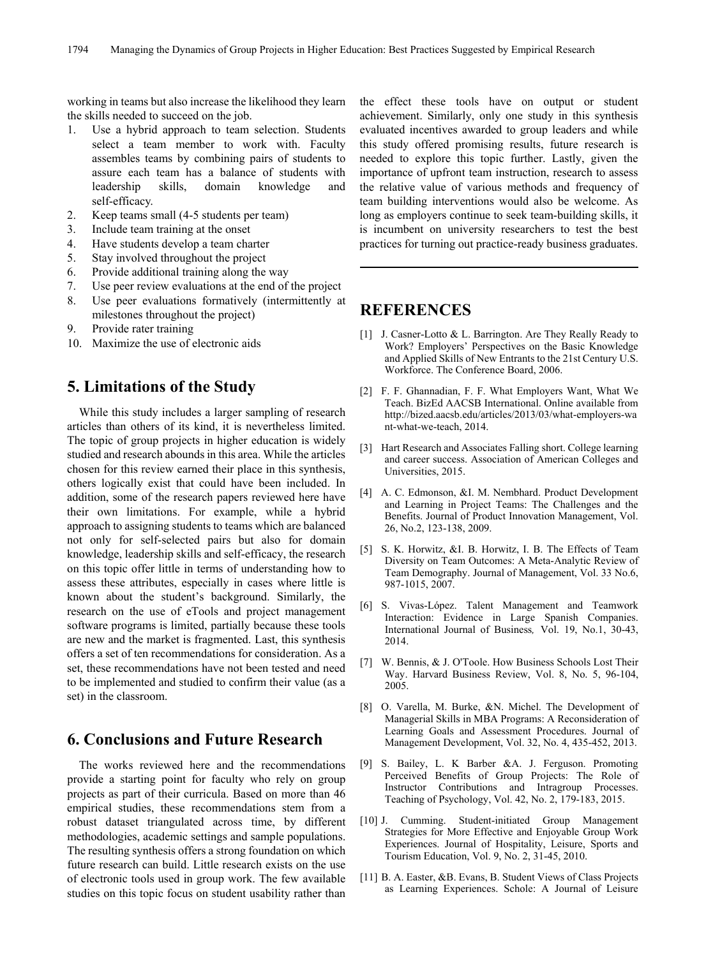working in teams but also increase the likelihood they learn the skills needed to succeed on the job.

- 1. Use a hybrid approach to team selection. Students select a team member to work with. Faculty assembles teams by combining pairs of students to assure each team has a balance of students with leadership skills, domain knowledge and self-efficacy.
- 2. Keep teams small (4-5 students per team)
- 3. Include team training at the onset
- 4. Have students develop a team charter
- 5. Stay involved throughout the project
- 6. Provide additional training along the way
- 7. Use peer review evaluations at the end of the project
- 8. Use peer evaluations formatively (intermittently at milestones throughout the project)
- 9. Provide rater training
- 10. Maximize the use of electronic aids

# **5. Limitations of the Study**

While this study includes a larger sampling of research articles than others of its kind, it is nevertheless limited. The topic of group projects in higher education is widely studied and research abounds in this area. While the articles chosen for this review earned their place in this synthesis, others logically exist that could have been included. In addition, some of the research papers reviewed here have their own limitations. For example, while a hybrid approach to assigning students to teams which are balanced not only for self-selected pairs but also for domain knowledge, leadership skills and self-efficacy, the research on this topic offer little in terms of understanding how to assess these attributes, especially in cases where little is known about the student's background. Similarly, the research on the use of eTools and project management software programs is limited, partially because these tools are new and the market is fragmented. Last, this synthesis offers a set of ten recommendations for consideration. As a set, these recommendations have not been tested and need to be implemented and studied to confirm their value (as a set) in the classroom.

# **6. Conclusions and Future Research**

The works reviewed here and the recommendations provide a starting point for faculty who rely on group projects as part of their curricula. Based on more than 46 empirical studies, these recommendations stem from a robust dataset triangulated across time, by different methodologies, academic settings and sample populations. The resulting synthesis offers a strong foundation on which future research can build. Little research exists on the use of electronic tools used in group work. The few available studies on this topic focus on student usability rather than

the effect these tools have on output or student achievement. Similarly, only one study in this synthesis evaluated incentives awarded to group leaders and while this study offered promising results, future research is needed to explore this topic further. Lastly, given the importance of upfront team instruction, research to assess the relative value of various methods and frequency of team building interventions would also be welcome. As long as employers continue to seek team-building skills, it is incumbent on university researchers to test the best practices for turning out practice-ready business graduates.

# **REFERENCES**

- [1] J. Casner-Lotto & L. Barrington. Are They Really Ready to Work? Employers' Perspectives on the Basic Knowledge and Applied Skills of New Entrants to the 21st Century U.S. Workforce. The Conference Board, 2006.
- [2] F. F. Ghannadian, F. F. What Employers Want, What We Teach. BizEd AACSB International. Online available from http://bized.aacsb.edu/articles/2013/03/what-employers-wa nt-what-we-teach, 2014.
- [3] Hart Research and Associates Falling short. College learning and career success. Association of American Colleges and Universities, 2015.
- [4] A. C. Edmonson, &I. M. Nembhard. Product Development and Learning in Project Teams: The Challenges and the Benefits. Journal of Product Innovation Management, Vol. 26, No.2, 123-138, 2009.
- [5] S. K. Horwitz, &I. B. Horwitz, I. B. The Effects of Team Diversity on Team Outcomes: A Meta-Analytic Review of Team Demography. Journal of Management, Vol. 33 No.6, 987-1015, 2007.
- [6] S. Vivas-López. Talent Management and Teamwork Interaction: Evidence in Large Spanish Companies. International Journal of Business*,* Vol. 19, No.1, 30-43, 2014.
- [7] W. Bennis, & J. O'Toole. How Business Schools Lost Their Way. Harvard Business Review, Vol. 8, No. 5, 96-104, 2005.
- [8] O. Varella, M. Burke, &N. Michel. The Development of Managerial Skills in MBA Programs: A Reconsideration of Learning Goals and Assessment Procedures. Journal of Management Development, Vol. 32, No. 4, 435-452, 2013.
- [9] S. Bailey, L. K Barber &A. J. Ferguson. Promoting Perceived Benefits of Group Projects: The Role of Instructor Contributions and Intragroup Processes. Teaching of Psychology, Vol. 42, No. 2, 179-183, 2015.
- [10] J. Cumming. Student-initiated Group Management Strategies for More Effective and Enjoyable Group Work Experiences. Journal of Hospitality, Leisure, Sports and Tourism Education, Vol. 9, No. 2, 31-45, 2010.
- [11] B. A. Easter, &B. Evans, B. Student Views of Class Projects as Learning Experiences. Schole: A Journal of Leisure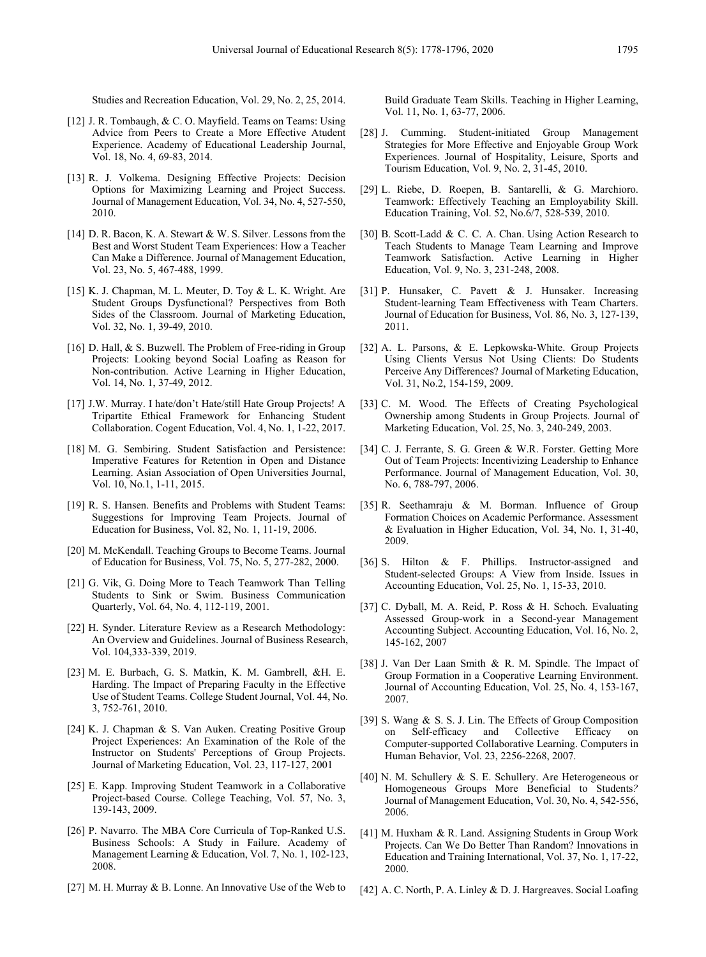Studies and Recreation Education, Vol. 29, No. 2, 25, 2014.

- [12] J. R. Tombaugh, & C. O. Mayfield. Teams on Teams: Using Advice from Peers to Create a More Effective Atudent Experience. Academy of Educational Leadership Journal, Vol. 18, No. 4, 69-83, 2014.
- [13] R. J. Volkema. Designing Effective Projects: Decision Options for Maximizing Learning and Project Success. Journal of Management Education, Vol. 34, No. 4, 527-550, 2010.
- [14] D. R. Bacon, K. A. Stewart & W. S. Silver. Lessons from the Best and Worst Student Team Experiences: How a Teacher Can Make a Difference. Journal of Management Education, Vol. 23, No. 5, 467-488, 1999.
- [15] K. J. Chapman, M. L. Meuter, D. Toy & L. K. Wright. Are Student Groups Dysfunctional? Perspectives from Both Sides of the Classroom. Journal of Marketing Education, Vol. 32, No. 1, 39-49, 2010.
- [16] D. Hall, & S. Buzwell. The Problem of Free-riding in Group Projects: Looking beyond Social Loafing as Reason for Non-contribution. Active Learning in Higher Education, Vol. 14, No. 1, 37-49, 2012.
- [17] J.W. Murray. I hate/don't Hate/still Hate Group Projects! A Tripartite Ethical Framework for Enhancing Student Collaboration. Cogent Education, Vol. 4, No. 1, 1-22, 2017.
- [18] M. G. Sembiring. Student Satisfaction and Persistence: Imperative Features for Retention in Open and Distance Learning. Asian Association of Open Universities Journal, Vol. 10, No.1, 1-11, 2015.
- [19] R. S. Hansen. Benefits and Problems with Student Teams: Suggestions for Improving Team Projects. Journal of Education for Business, Vol. 82, No. 1, 11-19, 2006.
- [20] M. McKendall. Teaching Groups to Become Teams. Journal of Education for Business, Vol. 75, No. 5, 277-282, 2000.
- [21] G. Vik, G. Doing More to Teach Teamwork Than Telling Students to Sink or Swim. Business Communication Quarterly, Vol. 64, No. 4, 112-119, 2001.
- [22] H. Synder. Literature Review as a Research Methodology: An Overview and Guidelines. Journal of Business Research, Vol. 104,333-339, 2019.
- [23] M. E. Burbach, G. S. Matkin, K. M. Gambrell, &H. E. Harding. The Impact of Preparing Faculty in the Effective Use of Student Teams. College Student Journal, Vol. 44, No. 3, 752-761, 2010.
- [24] K. J. Chapman & S. Van Auken. Creating Positive Group Project Experiences: An Examination of the Role of the Instructor on Students' Perceptions of Group Projects. Journal of Marketing Education, Vol. 23, 117-127, 2001
- [25] E. Kapp. Improving Student Teamwork in a Collaborative Project-based Course. College Teaching, Vol. 57, No. 3, 139-143, 2009.
- [26] P. Navarro. The MBA Core Curricula of Top-Ranked U.S. Business Schools: A Study in Failure. Academy of Management Learning & Education, Vol. 7, No. 1, 102-123, 2008.
- [27] M. H. Murray & B. Lonne. An Innovative Use of the Web to

Build Graduate Team Skills. Teaching in Higher Learning, Vol. 11, No. 1, 63-77, 2006.

- [28] J. Cumming. Student-initiated Group Management Strategies for More Effective and Enjoyable Group Work Experiences. Journal of Hospitality, Leisure, Sports and Tourism Education, Vol. 9, No. 2, 31-45, 2010.
- [29] L. Riebe, D. Roepen, B. Santarelli, & G. Marchioro. Teamwork: Effectively Teaching an Employability Skill. Education Training, Vol. 52, No.6/7, 528-539, 2010.
- [30] B. Scott-Ladd & C. C. A. Chan. Using Action Research to Teach Students to Manage Team Learning and Improve Teamwork Satisfaction. Active Learning in Higher Education, Vol. 9, No. 3, 231-248, 2008.
- [31] P. Hunsaker, C. Pavett & J. Hunsaker. Increasing Student-learning Team Effectiveness with Team Charters. Journal of Education for Business, Vol. 86, No. 3, 127-139, 2011.
- [32] A. L. Parsons, & E. Lepkowska-White. Group Projects Using Clients Versus Not Using Clients: Do Students Perceive Any Differences? Journal of Marketing Education, Vol. 31, No.2, 154-159, 2009.
- [33] C. M. Wood. The Effects of Creating Psychological Ownership among Students in Group Projects. Journal of Marketing Education, Vol. 25, No. 3, 240-249, 2003.
- [34] C. J. Ferrante, S. G. Green & W.R. Forster. Getting More Out of Team Projects: Incentivizing Leadership to Enhance Performance. Journal of Management Education, Vol. 30, No. 6, 788-797, 2006.
- [35] R. Seethamraju & M. Borman. Influence of Group Formation Choices on Academic Performance. Assessment & Evaluation in Higher Education, Vol. 34, No. 1, 31-40, 2009.
- [36] S. Hilton & F. Phillips. Instructor-assigned and Student-selected Groups: A View from Inside. Issues in Accounting Education, Vol. 25, No. 1, 15-33, 2010.
- [37] C. Dyball, M. A. Reid, P. Ross & H. Schoch. Evaluating Assessed Group-work in a Second-year Management Accounting Subject. Accounting Education, Vol. 16, No. 2, 145-162, 2007
- [38] J. Van Der Laan Smith & R. M. Spindle. The Impact of Group Formation in a Cooperative Learning Environment. Journal of Accounting Education, Vol. 25, No. 4, 153-167, 2007.
- [39] S. Wang & S. S. J. Lin. The Effects of Group Composition on Self-efficacy and Collective Efficacy on Computer-supported Collaborative Learning. Computers in Human Behavior, Vol. 23, 2256-2268, 2007.
- [40] N. M. Schullery & S. E. Schullery. Are Heterogeneous or Homogeneous Groups More Beneficial to Students*?* Journal of Management Education, Vol. 30, No. 4, 542-556, 2006.
- [41] M. Huxham & R. Land. Assigning Students in Group Work Projects. Can We Do Better Than Random? Innovations in Education and Training International, Vol. 37, No. 1, 17-22, 2000.
- [42] A. C. North, P. A. Linley & D. J. Hargreaves. Social Loafing